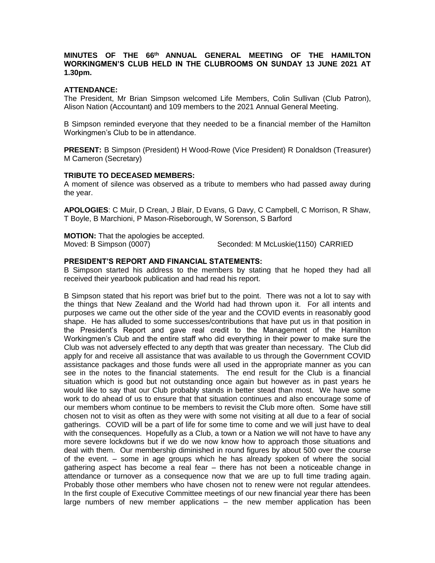# **MINUTES OF THE 66 th ANNUAL GENERAL MEETING OF THE HAMILTON WORKINGMEN'S CLUB HELD IN THE CLUBROOMS ON SUNDAY 13 JUNE 2021 AT 1.30pm.**

## **ATTENDANCE:**

The President, Mr Brian Simpson welcomed Life Members, Colin Sullivan (Club Patron), Alison Nation (Accountant) and 109 members to the 2021 Annual General Meeting.

B Simpson reminded everyone that they needed to be a financial member of the Hamilton Workingmen's Club to be in attendance.

**PRESENT:** B Simpson (President) H Wood-Rowe (Vice President) R Donaldson (Treasurer) M Cameron (Secretary)

## **TRIBUTE TO DECEASED MEMBERS:**

A moment of silence was observed as a tribute to members who had passed away during the year.

**APOLOGIES**: C Muir, D Crean, J Blair, D Evans, G Davy, C Campbell, C Morrison, R Shaw, T Boyle, B Marchioni, P Mason-Riseborough, W Sorenson, S Barford

**MOTION:** That the apologies be accepted.

Moved: B Simpson (0007) Seconded: M McLuskie(1150) CARRIED

## **PRESIDENT'S REPORT AND FINANCIAL STATEMENTS:**

B Simpson started his address to the members by stating that he hoped they had all received their yearbook publication and had read his report.

B Simpson stated that his report was brief but to the point. There was not a lot to say with the things that New Zealand and the World had had thrown upon it. For all intents and purposes we came out the other side of the year and the COVID events in reasonably good shape. He has alluded to some successes/contributions that have put us in that position in the President's Report and gave real credit to the Management of the Hamilton Workingmen's Club and the entire staff who did everything in their power to make sure the Club was not adversely effected to any depth that was greater than necessary. The Club did apply for and receive all assistance that was available to us through the Government COVID assistance packages and those funds were all used in the appropriate manner as you can see in the notes to the financial statements. The end result for the Club is a financial situation which is good but not outstanding once again but however as in past years he would like to say that our Club probably stands in better stead than most. We have some work to do ahead of us to ensure that that situation continues and also encourage some of our members whom continue to be members to revisit the Club more often. Some have still chosen not to visit as often as they were with some not visiting at all due to a fear of social gatherings. COVID will be a part of life for some time to come and we will just have to deal with the consequences. Hopefully as a Club, a town or a Nation we will not have to have any more severe lockdowns but if we do we now know how to approach those situations and deal with them. Our membership diminished in round figures by about 500 over the course of the event. – some in age groups which he has already spoken of where the social gathering aspect has become a real fear – there has not been a noticeable change in attendance or turnover as a consequence now that we are up to full time trading again. Probably those other members who have chosen not to renew were not regular attendees. In the first couple of Executive Committee meetings of our new financial year there has been large numbers of new member applications – the new member application has been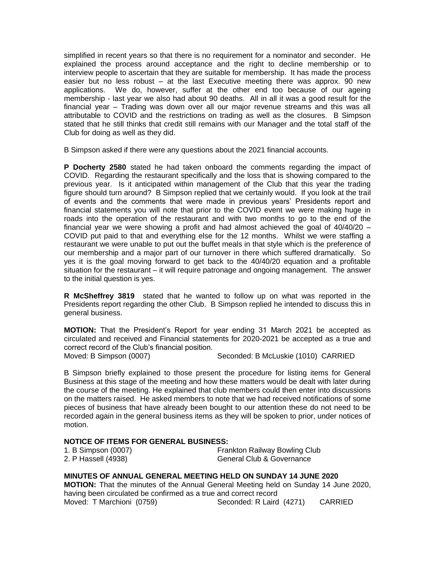simplified in recent years so that there is no requirement for a nominator and seconder. He explained the process around acceptance and the right to decline membership or to interview people to ascertain that they are suitable for membership. It has made the process easier but no less robust – at the last Executive meeting there was approx. 90 new applications. We do, however, suffer at the other end too because of our ageing membership - last year we also had about 90 deaths. All in all it was a good result for the financial year – Trading was down over all our major revenue streams and this was all attributable to COVID and the restrictions on trading as well as the closures. B Simpson stated that he still thinks that credit still remains with our Manager and the total staff of the Club for doing as well as they did.

B Simpson asked if there were any questions about the 2021 financial accounts.

**P Docherty 2580** stated he had taken onboard the comments regarding the impact of COVID. Regarding the restaurant specifically and the loss that is showing compared to the previous year. Is it anticipated within management of the Club that this year the trading figure should turn around? B Simpson replied that we certainly would. If you look at the trail of events and the comments that were made in previous years' Presidents report and financial statements you will note that prior to the COVID event we were making huge in roads into the operation of the restaurant and with two months to go to the end of the financial year we were showing a profit and had almost achieved the goal of  $40/40/20 -$ COVID put paid to that and everything else for the 12 months. Whilst we were staffing a restaurant we were unable to put out the buffet meals in that style which is the preference of our membership and a major part of our turnover in there which suffered dramatically. So yes it is the goal moving forward to get back to the 40/40/20 equation and a profitable situation for the restaurant – it will require patronage and ongoing management. The answer to the initial question is yes.

**R McSheffrey 3819** stated that he wanted to follow up on what was reported in the Presidents report regarding the other Club. B Simpson replied he intended to discuss this in general business.

**MOTION:** That the President's Report for year ending 31 March 2021 be accepted as circulated and received and Financial statements for 2020-2021 be accepted as a true and correct record of the Club's financial position.<br>Moved: B Simpson (0007)

Seconded: B McLuskie (1010) CARRIED

B Simpson briefly explained to those present the procedure for listing items for General Business at this stage of the meeting and how these matters would be dealt with later during the course of the meeting. He explained that club members could then enter into discussions on the matters raised. He asked members to note that we had received notifications of some pieces of business that have already been bought to our attention these do not need to be recorded again in the general business items as they will be spoken to prior, under notices of motion.

# **NOTICE OF ITEMS FOR GENERAL BUSINESS:**

| 1. B Simpson (0007) | <b>Frankton Railway Bowling Club</b> |
|---------------------|--------------------------------------|
| 2. P Hassell (4938) | General Club & Governance            |

# **MINUTES OF ANNUAL GENERAL MEETING HELD ON SUNDAY 14 JUNE 2020**

**MOTION:** That the minutes of the Annual General Meeting held on Sunday 14 June 2020, having been circulated be confirmed as a true and correct record Moved: T Marchioni (0759) Seconded: R Laird (4271) CARRIED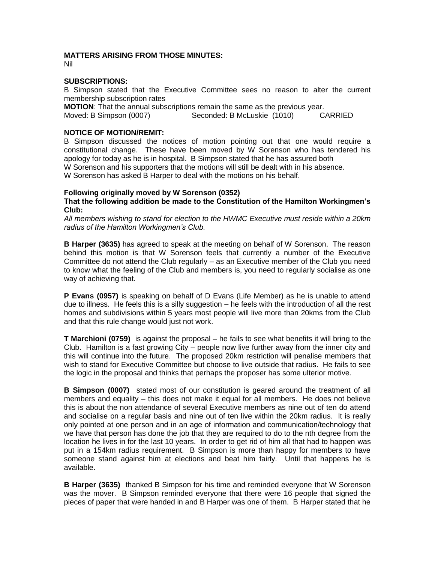# **MATTERS ARISING FROM THOSE MINUTES:**

Nil

## **SUBSCRIPTIONS:**

B Simpson stated that the Executive Committee sees no reason to alter the current membership subscription rates

**MOTION:** That the annual subscriptions remain the same as the previous year.<br>Moved: B Simpson (0007) Seconded: B McLuskie (1010) C. Seconded: B McLuskie (1010) CARRIED

# **NOTICE OF MOTION/REMIT:**

B Simpson discussed the notices of motion pointing out that one would require a constitutional change. These have been moved by W Sorenson who has tendered his apology for today as he is in hospital. B Simpson stated that he has assured both W Sorenson and his supporters that the motions will still be dealt with in his absence. W Sorenson has asked B Harper to deal with the motions on his behalf.

# **Following originally moved by W Sorenson (0352)**

**That the following addition be made to the Constitution of the Hamilton Workingmen's Club:**

*All members wishing to stand for election to the HWMC Executive must reside within a 20km radius of the Hamilton Workingmen's Club.*

**B Harper (3635)** has agreed to speak at the meeting on behalf of W Sorenson. The reason behind this motion is that W Sorenson feels that currently a number of the Executive Committee do not attend the Club regularly – as an Executive member of the Club you need to know what the feeling of the Club and members is, you need to regularly socialise as one way of achieving that.

**P Evans (0957)** is speaking on behalf of D Evans (Life Member) as he is unable to attend due to illness. He feels this is a silly suggestion – he feels with the introduction of all the rest homes and subdivisions within 5 years most people will live more than 20kms from the Club and that this rule change would just not work.

**T Marchioni (0759)** is against the proposal – he fails to see what benefits it will bring to the Club. Hamilton is a fast growing City – people now live further away from the inner city and this will continue into the future. The proposed 20km restriction will penalise members that wish to stand for Executive Committee but choose to live outside that radius. He fails to see the logic in the proposal and thinks that perhaps the proposer has some ulterior motive.

**B Simpson (0007)** stated most of our constitution is geared around the treatment of all members and equality – this does not make it equal for all members. He does not believe this is about the non attendance of several Executive members as nine out of ten do attend and socialise on a regular basis and nine out of ten live within the 20km radius. It is really only pointed at one person and in an age of information and communication/technology that we have that person has done the job that they are required to do to the nth degree from the location he lives in for the last 10 years. In order to get rid of him all that had to happen was put in a 154km radius requirement. B Simpson is more than happy for members to have someone stand against him at elections and beat him fairly. Until that happens he is available.

**B Harper (3635)** thanked B Simpson for his time and reminded everyone that W Sorenson was the mover. B Simpson reminded everyone that there were 16 people that signed the pieces of paper that were handed in and B Harper was one of them. B Harper stated that he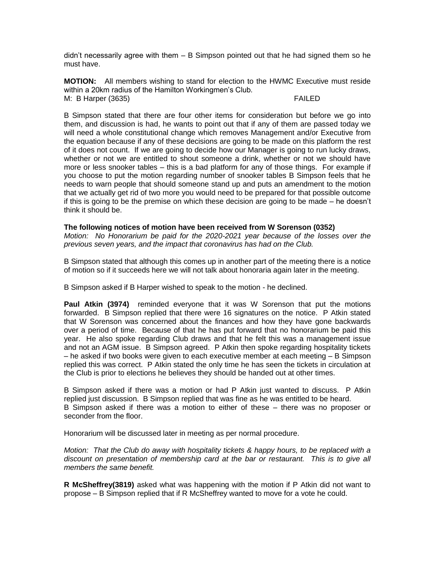didn't necessarily agree with them – B Simpson pointed out that he had signed them so he must have.

**MOTION:** All members wishing to stand for election to the HWMC Executive must reside within a 20km radius of the Hamilton Workingmen's Club*.* M: B Harper (3635) FAILED

B Simpson stated that there are four other items for consideration but before we go into them, and discussion is had, he wants to point out that if any of them are passed today we will need a whole constitutional change which removes Management and/or Executive from the equation because if any of these decisions are going to be made on this platform the rest of it does not count. If we are going to decide how our Manager is going to run lucky draws, whether or not we are entitled to shout someone a drink, whether or not we should have more or less snooker tables – this is a bad platform for any of those things. For example if you choose to put the motion regarding number of snooker tables B Simpson feels that he needs to warn people that should someone stand up and puts an amendment to the motion that we actually get rid of two more you would need to be prepared for that possible outcome if this is going to be the premise on which these decision are going to be made – he doesn't think it should be.

**The following notices of motion have been received from W Sorenson (0352)**  *Motion: No Honorarium be paid for the 2020-2021 year because of the losses over the previous seven years, and the impact that coronavirus has had on the Club.*

B Simpson stated that although this comes up in another part of the meeting there is a notice of motion so if it succeeds here we will not talk about honoraria again later in the meeting.

B Simpson asked if B Harper wished to speak to the motion - he declined.

**Paul Atkin (3974)** reminded everyone that it was W Sorenson that put the motions forwarded. B Simpson replied that there were 16 signatures on the notice. P Atkin stated that W Sorenson was concerned about the finances and how they have gone backwards over a period of time. Because of that he has put forward that no honorarium be paid this year. He also spoke regarding Club draws and that he felt this was a management issue and not an AGM issue. B Simpson agreed. P Atkin then spoke regarding hospitality tickets – he asked if two books were given to each executive member at each meeting – B Simpson replied this was correct. P Atkin stated the only time he has seen the tickets in circulation at the Club is prior to elections he believes they should be handed out at other times.

B Simpson asked if there was a motion or had P Atkin just wanted to discuss. P Atkin replied just discussion. B Simpson replied that was fine as he was entitled to be heard. B Simpson asked if there was a motion to either of these – there was no proposer or seconder from the floor.

Honorarium will be discussed later in meeting as per normal procedure.

*Motion: That the Club do away with hospitality tickets & happy hours, to be replaced with a discount on presentation of membership card at the bar or restaurant. This is to give all members the same benefit.*

**R McSheffrey(3819)** asked what was happening with the motion if P Atkin did not want to propose – B Simpson replied that if R McSheffrey wanted to move for a vote he could.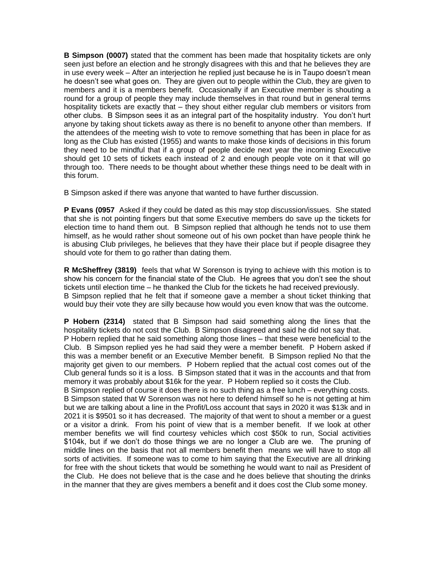**B Simpson (0007)** stated that the comment has been made that hospitality tickets are only seen just before an election and he strongly disagrees with this and that he believes they are in use every week – After an interjection he replied just because he is in Taupo doesn't mean he doesn't see what goes on. They are given out to people within the Club, they are given to members and it is a members benefit. Occasionally if an Executive member is shouting a round for a group of people they may include themselves in that round but in general terms hospitality tickets are exactly that – they shout either regular club members or visitors from other clubs. B Simpson sees it as an integral part of the hospitality industry. You don't hurt anyone by taking shout tickets away as there is no benefit to anyone other than members. If the attendees of the meeting wish to vote to remove something that has been in place for as long as the Club has existed (1955) and wants to make those kinds of decisions in this forum they need to be mindful that if a group of people decide next year the incoming Executive should get 10 sets of tickets each instead of 2 and enough people vote on it that will go through too. There needs to be thought about whether these things need to be dealt with in this forum.

B Simpson asked if there was anyone that wanted to have further discussion.

**P Evans (0957** Asked if they could be dated as this may stop discussion/issues. She stated that she is not pointing fingers but that some Executive members do save up the tickets for election time to hand them out. B Simpson replied that although he tends not to use them himself, as he would rather shout someone out of his own pocket than have people think he is abusing Club privileges, he believes that they have their place but if people disagree they should vote for them to go rather than dating them.

**R McSheffrey (3819)** feels that what W Sorenson is trying to achieve with this motion is to show his concern for the financial state of the Club. He agrees that you don't see the shout tickets until election time – he thanked the Club for the tickets he had received previously. B Simpson replied that he felt that if someone gave a member a shout ticket thinking that would buy their vote they are silly because how would you even know that was the outcome.

**P Hobern (2314)** stated that B Simpson had said something along the lines that the hospitality tickets do not cost the Club. B Simpson disagreed and said he did not say that. P Hobern replied that he said something along those lines – that these were beneficial to the Club. B Simpson replied yes he had said they were a member benefit. P Hobern asked if this was a member benefit or an Executive Member benefit. B Simpson replied No that the majority get given to our members. P Hobern replied that the actual cost comes out of the Club general funds so it is a loss. B Simpson stated that it was in the accounts and that from memory it was probably about \$16k for the year. P Hobern replied so it costs the Club.

B Simpson replied of course it does there is no such thing as a free lunch – everything costs. B Simpson stated that W Sorenson was not here to defend himself so he is not getting at him but we are talking about a line in the Profit/Loss account that says in 2020 it was \$13k and in 2021 it is \$9501 so it has decreased. The majority of that went to shout a member or a guest or a visitor a drink. From his point of view that is a member benefit. If we look at other member benefits we will find courtesy vehicles which cost \$50k to run, Social activities \$104k, but if we don't do those things we are no longer a Club are we. The pruning of middle lines on the basis that not all members benefit then means we will have to stop all sorts of activities. If someone was to come to him saying that the Executive are all drinking for free with the shout tickets that would be something he would want to nail as President of the Club. He does not believe that is the case and he does believe that shouting the drinks in the manner that they are gives members a benefit and it does cost the Club some money.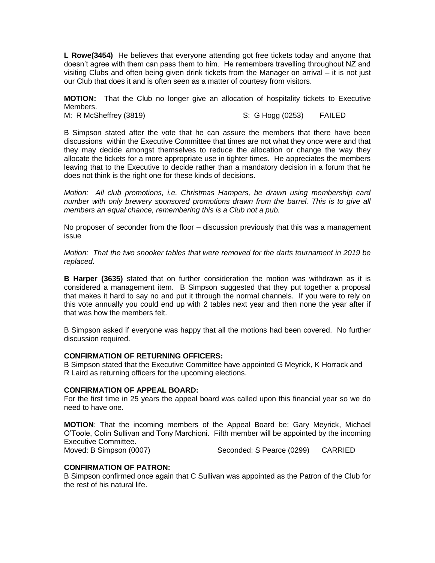**L Rowe(3454)** He believes that everyone attending got free tickets today and anyone that doesn't agree with them can pass them to him. He remembers travelling throughout NZ and visiting Clubs and often being given drink tickets from the Manager on arrival – it is not just our Club that does it and is often seen as a matter of courtesy from visitors.

**MOTION:** That the Club no longer give an allocation of hospitality tickets to Executive Members.

M: R McSheffrey (3819)  $\qquad \qquad$  S: G Hogg (0253) FAILED

B Simpson stated after the vote that he can assure the members that there have been discussions within the Executive Committee that times are not what they once were and that they may decide amongst themselves to reduce the allocation or change the way they allocate the tickets for a more appropriate use in tighter times. He appreciates the members leaving that to the Executive to decide rather than a mandatory decision in a forum that he does not think is the right one for these kinds of decisions.

*Motion: All club promotions, i.e. Christmas Hampers, be drawn using membership card number with only brewery sponsored promotions drawn from the barrel. This is to give all members an equal chance, remembering this is a Club not a pub.*

No proposer of seconder from the floor – discussion previously that this was a management issue

*Motion: That the two snooker tables that were removed for the darts tournament in 2019 be replaced.* 

**B Harper (3635)** stated that on further consideration the motion was withdrawn as it is considered a management item. B Simpson suggested that they put together a proposal that makes it hard to say no and put it through the normal channels. If you were to rely on this vote annually you could end up with 2 tables next year and then none the year after if that was how the members felt.

B Simpson asked if everyone was happy that all the motions had been covered. No further discussion required.

## **CONFIRMATION OF RETURNING OFFICERS:**

B Simpson stated that the Executive Committee have appointed G Meyrick, K Horrack and R Laird as returning officers for the upcoming elections.

#### **CONFIRMATION OF APPEAL BOARD:**

For the first time in 25 years the appeal board was called upon this financial year so we do need to have one.

**MOTION**: That the incoming members of the Appeal Board be: Gary Meyrick, Michael O'Toole, Colin Sullivan and Tony Marchioni. Fifth member will be appointed by the incoming Executive Committee.

Moved: B Simpson (0007) Seconded: S Pearce (0299) CARRIED

#### **CONFIRMATION OF PATRON:**

B Simpson confirmed once again that C Sullivan was appointed as the Patron of the Club for the rest of his natural life.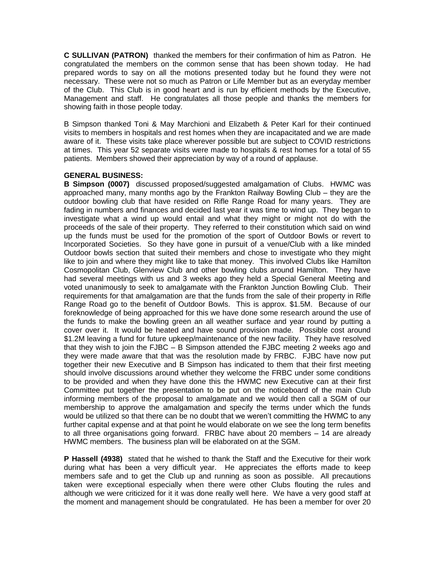**C SULLIVAN (PATRON)** thanked the members for their confirmation of him as Patron. He congratulated the members on the common sense that has been shown today. He had prepared words to say on all the motions presented today but he found they were not necessary. These were not so much as Patron or Life Member but as an everyday member of the Club. This Club is in good heart and is run by efficient methods by the Executive, Management and staff. He congratulates all those people and thanks the members for showing faith in those people today.

B Simpson thanked Toni & May Marchioni and Elizabeth & Peter Karl for their continued visits to members in hospitals and rest homes when they are incapacitated and we are made aware of it. These visits take place wherever possible but are subject to COVID restrictions at times. This year 52 separate visits were made to hospitals & rest homes for a total of 55 patients. Members showed their appreciation by way of a round of applause.

# **GENERAL BUSINESS:**

**B Simpson (0007)** discussed proposed/suggested amalgamation of Clubs. HWMC was approached many, many months ago by the Frankton Railway Bowling Club – they are the outdoor bowling club that have resided on Rifle Range Road for many years. They are fading in numbers and finances and decided last year it was time to wind up. They began to investigate what a wind up would entail and what they might or might not do with the proceeds of the sale of their property. They referred to their constitution which said on wind up the funds must be used for the promotion of the sport of Outdoor Bowls or revert to Incorporated Societies. So they have gone in pursuit of a venue/Club with a like minded Outdoor bowls section that suited their members and chose to investigate who they might like to join and where they might like to take that money. This involved Clubs like Hamilton Cosmopolitan Club, Glenview Club and other bowling clubs around Hamilton. They have had several meetings with us and 3 weeks ago they held a Special General Meeting and voted unanimously to seek to amalgamate with the Frankton Junction Bowling Club. Their requirements for that amalgamation are that the funds from the sale of their property in Rifle Range Road go to the benefit of Outdoor Bowls. This is approx. \$1.5M. Because of our foreknowledge of being approached for this we have done some research around the use of the funds to make the bowling green an all weather surface and year round by putting a cover over it. It would be heated and have sound provision made. Possible cost around \$1.2M leaving a fund for future upkeep/maintenance of the new facility. They have resolved that they wish to join the FJBC – B Simpson attended the FJBC meeting 2 weeks ago and they were made aware that that was the resolution made by FRBC. FJBC have now put together their new Executive and B Simpson has indicated to them that their first meeting should involve discussions around whether they welcome the FRBC under some conditions to be provided and when they have done this the HWMC new Executive can at their first Committee put together the presentation to be put on the noticeboard of the main Club informing members of the proposal to amalgamate and we would then call a SGM of our membership to approve the amalgamation and specify the terms under which the funds would be utilized so that there can be no doubt that we weren't committing the HWMC to any further capital expense and at that point he would elaborate on we see the long term benefits to all three organisations going forward. FRBC have about 20 members – 14 are already HWMC members. The business plan will be elaborated on at the SGM.

**P Hassell (4938)** stated that he wished to thank the Staff and the Executive for their work during what has been a very difficult year. He appreciates the efforts made to keep members safe and to get the Club up and running as soon as possible. All precautions taken were exceptional especially when there were other Clubs flouting the rules and although we were criticized for it it was done really well here. We have a very good staff at the moment and management should be congratulated. He has been a member for over 20